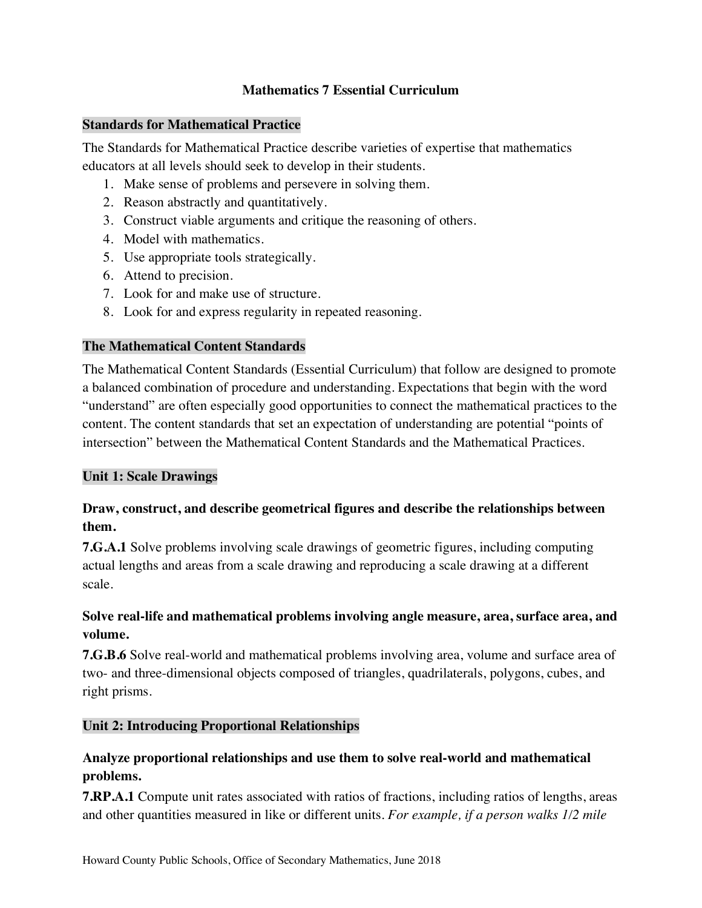## **Mathematics 7 Essential Curriculum**

#### **Standards for Mathematical Practice**

 The Standards for Mathematical Practice describe varieties of expertise that mathematics educators at all levels should seek to develop in their students.

- 1. Make sense of problems and persevere in solving them.
- 2. Reason abstractly and quantitatively.
- 3. Construct viable arguments and critique the reasoning of others.
- 4. Model with mathematics.
- 5. Use appropriate tools strategically.
- 6. Attend to precision.
- 7. Look for and make use of structure.
- 8. Look for and express regularity in repeated reasoning.

### **The Mathematical Content Standards**

 The Mathematical Content Standards (Essential Curriculum) that follow are designed to promote a balanced combination of procedure and understanding. Expectations that begin with the word "understand" are often especially good opportunities to connect the mathematical practices to the content. The content standards that set an expectation of understanding are potential "points of intersection" between the Mathematical Content Standards and the Mathematical Practices.

### **Unit 1: Scale Drawings**

## **Draw, construct, and describe geometrical figures and describe the relationships between them.**

 **7.G.A.1** Solve problems involving scale drawings of geometric figures, including computing actual lengths and areas from a scale drawing and reproducing a scale drawing at a different scale.

## **Solve real-life and mathematical problems involving angle measure, area, surface area, and volume.**

 **7.G.B.6** Solve real-world and mathematical problems involving area, volume and surface area of two- and three-dimensional objects composed of triangles, quadrilaterals, polygons, cubes, and right prisms.

## **Unit 2: Introducing Proportional Relationships**

## **Analyze proportional relationships and use them to solve real-world and mathematical problems.**

 **7.RP.A.1** Compute unit rates associated with ratios of fractions, including ratios of lengths, areas and other quantities measured in like or different units. *For example, if a person walks 1/2 mile*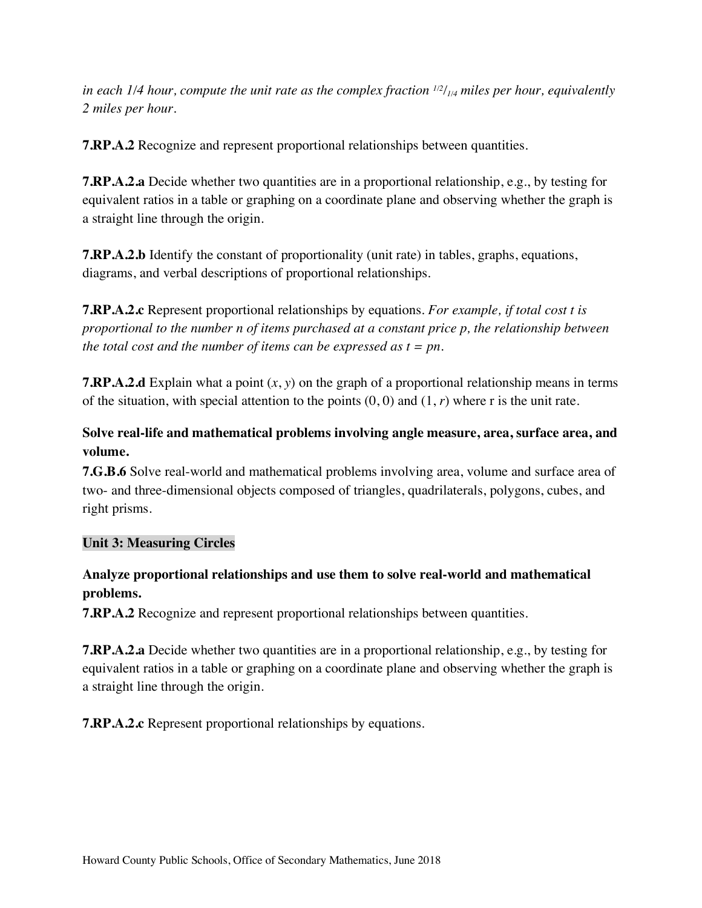in each 1/4 hour, compute the unit rate as the complex fraction <sup>112</sup>/<sub>1/4</sub> miles per hour, equivalently  *2 miles per hour*.

**7.RP.A.2** Recognize and represent proportional relationships between quantities.

 **7.RP.A.2.a** Decide whether two quantities are in a proportional relationship, e.g., by testing for equivalent ratios in a table or graphing on a coordinate plane and observing whether the graph is a straight line through the origin.

 **7.RP.A.2.b** Identify the constant of proportionality (unit rate) in tables, graphs, equations, diagrams, and verbal descriptions of proportional relationships.

 **7.RP.A.2.c** Represent proportional relationships by equations. *For example, if total cost t is proportional to the number n of items purchased at a constant price p, the relationship between the total cost and the number of items can be expressed as t = pn*.

 **7.RP.A.2.d** Explain what a point (*x*, *y*) on the graph of a proportional relationship means in terms of the situation, with special attention to the points (0, 0) and (1, *r*) where r is the unit rate.

# **Solve real-life and mathematical problems involving angle measure, area, surface area, and volume.**

 **7.G.B.6** Solve real-world and mathematical problems involving area, volume and surface area of two- and three-dimensional objects composed of triangles, quadrilaterals, polygons, cubes, and right prisms.

## **Unit 3: Measuring Circles**

## **Analyze proportional relationships and use them to solve real-world and mathematical problems.**

**7.RP.A.2** Recognize and represent proportional relationships between quantities.

 **7.RP.A.2.a** Decide whether two quantities are in a proportional relationship, e.g., by testing for equivalent ratios in a table or graphing on a coordinate plane and observing whether the graph is a straight line through the origin.

**7.RP.A.2.c** Represent proportional relationships by equations.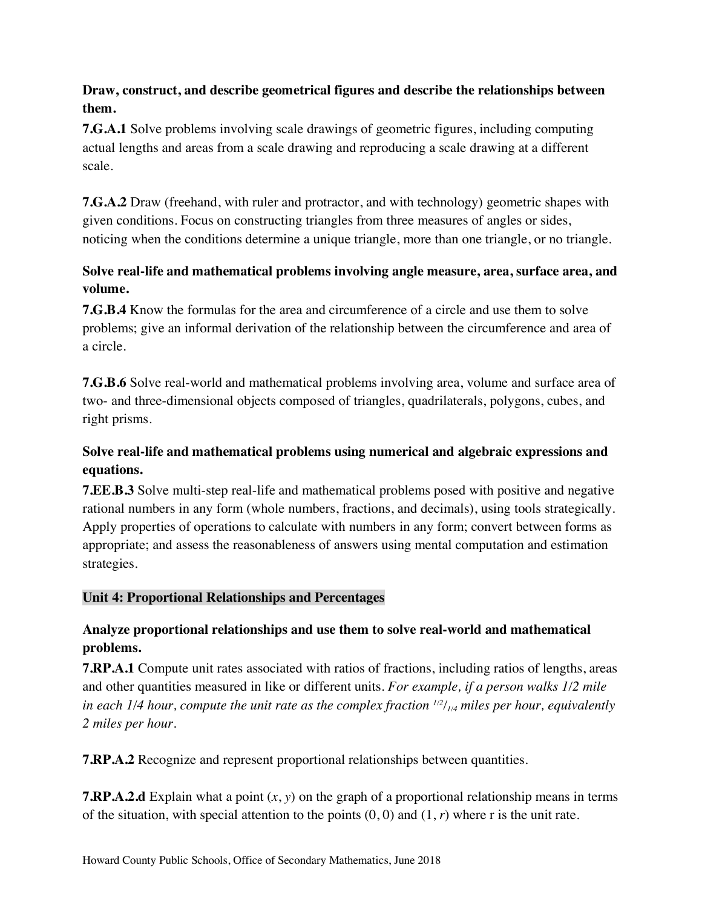# **Draw, construct, and describe geometrical figures and describe the relationships between them.**

 **7.G.A.1** Solve problems involving scale drawings of geometric figures, including computing actual lengths and areas from a scale drawing and reproducing a scale drawing at a different scale.

 **7.G.A.2** Draw (freehand, with ruler and protractor, and with technology) geometric shapes with given conditions. Focus on constructing triangles from three measures of angles or sides, noticing when the conditions determine a unique triangle, more than one triangle, or no triangle.

# **Solve real-life and mathematical problems involving angle measure, area, surface area, and volume.**

 **7.G.B.4** Know the formulas for the area and circumference of a circle and use them to solve problems; give an informal derivation of the relationship between the circumference and area of a circle.

 **7.G.B.6** Solve real-world and mathematical problems involving area, volume and surface area of two- and three-dimensional objects composed of triangles, quadrilaterals, polygons, cubes, and right prisms.

# **Solve real-life and mathematical problems using numerical and algebraic expressions and equations.**

 **7.EE.B.3** Solve multi-step real-life and mathematical problems posed with positive and negative rational numbers in any form (whole numbers, fractions, and decimals), using tools strategically. Apply properties of operations to calculate with numbers in any form; convert between forms as appropriate; and assess the reasonableness of answers using mental computation and estimation strategies.

# **Unit 4: Proportional Relationships and Percentages**

# **Analyze proportional relationships and use them to solve real-world and mathematical problems.**

 **7.RP.A.1** Compute unit rates associated with ratios of fractions, including ratios of lengths, areas and other quantities measured in like or different units. *For example, if a person walks 1/2 mile*  in each 1/4 hour, compute the unit rate as the complex fraction <sup>112</sup>/<sub>1/4</sub> miles per hour, equivalently  *2 miles per hour*.

**7.RP.A.2** Recognize and represent proportional relationships between quantities.

 **7.RP.A.2.d** Explain what a point (*x*, *y*) on the graph of a proportional relationship means in terms of the situation, with special attention to the points  $(0, 0)$  and  $(1, r)$  where r is the unit rate.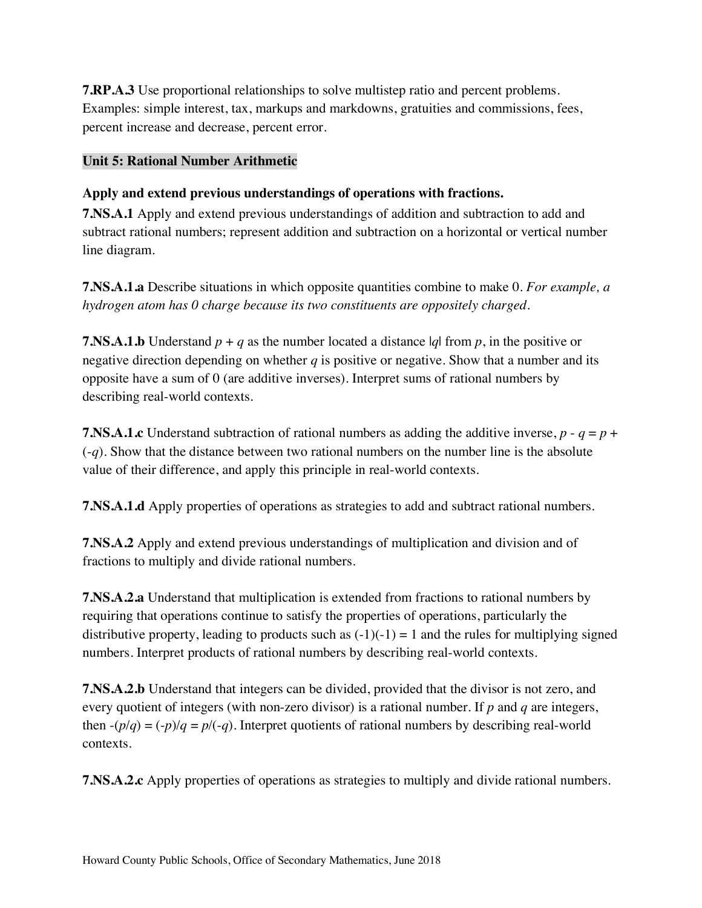**7.RP.A.3** Use proportional relationships to solve multistep ratio and percent problems. Examples: simple interest, tax, markups and markdowns, gratuities and commissions, fees, percent increase and decrease, percent error.

### **Unit 5: Rational Number Arithmetic**

## **Apply and extend previous understandings of operations with fractions.**

 **7.NS.A.1** Apply and extend previous understandings of addition and subtraction to add and subtract rational numbers; represent addition and subtraction on a horizontal or vertical number line diagram.

 **7.NS.A.1.a** Describe situations in which opposite quantities combine to make 0. *For example, a hydrogen atom has 0 charge because its two constituents are oppositely charged*.

**7.NS.A.1.b** Understand  $p + q$  as the number located a distance  $|q|$  from  $p$ , in the positive or negative direction depending on whether *q* is positive or negative. Show that a number and its opposite have a sum of 0 (are additive inverses). Interpret sums of rational numbers by describing real-world contexts.

**7.NS.A.1.c** Understand subtraction of rational numbers as adding the additive inverse,  $p - q = p + q$  (-*q*). Show that the distance between two rational numbers on the number line is the absolute value of their difference, and apply this principle in real-world contexts.

**7.NS.A.1.d** Apply properties of operations as strategies to add and subtract rational numbers.

 **7.NS.A.2** Apply and extend previous understandings of multiplication and division and of fractions to multiply and divide rational numbers.

 **7.NS.A.2.a** Understand that multiplication is extended from fractions to rational numbers by requiring that operations continue to satisfy the properties of operations, particularly the distributive property, leading to products such as  $(-1)(-1) = 1$  and the rules for multiplying signed numbers. Interpret products of rational numbers by describing real-world contexts.

 **7.NS.A.2.b** Understand that integers can be divided, provided that the divisor is not zero, and every quotient of integers (with non-zero divisor) is a rational number. If *p* and *q* are integers, then  $-(p/q) = (-p)/q = p/(-q)$ . Interpret quotients of rational numbers by describing real-world contexts.

**7.NS.A.2.c** Apply properties of operations as strategies to multiply and divide rational numbers.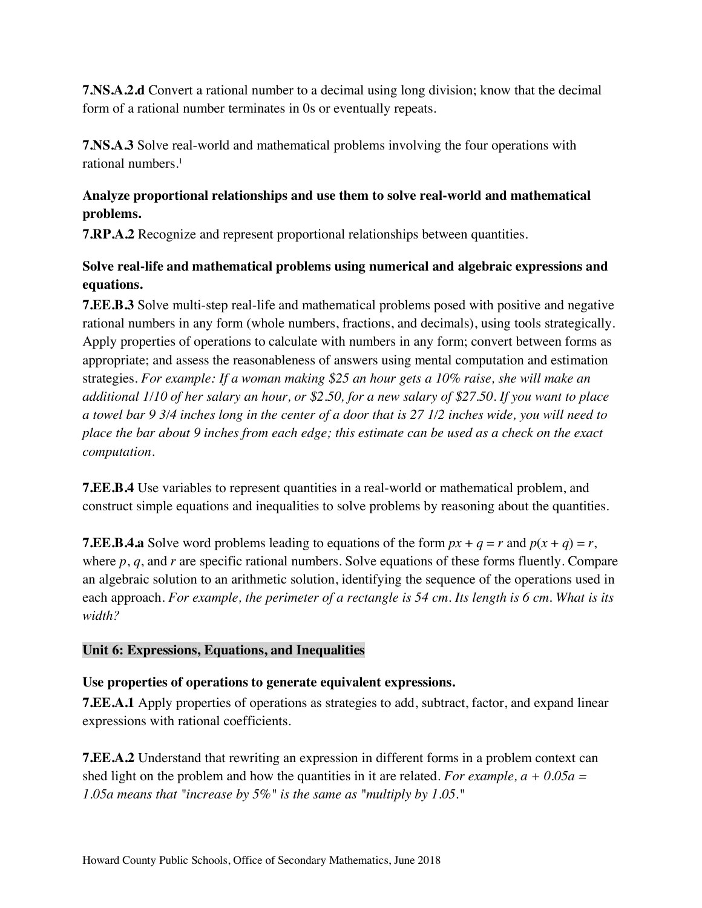**7.NS.A.2.d** Convert a rational number to a decimal using long division; know that the decimal form of a rational number terminates in 0s or eventually repeats.

 **7.NS.A.3** Solve real-world and mathematical problems involving the four operations with rational numbers.<sup>1</sup>

# **Analyze proportional relationships and use them to solve real-world and mathematical problems.**

**7.RP.A.2** Recognize and represent proportional relationships between quantities.

# **Solve real-life and mathematical problems using numerical and algebraic expressions and equations.**

 **7.EE.B.3** Solve multi-step real-life and mathematical problems posed with positive and negative rational numbers in any form (whole numbers, fractions, and decimals), using tools strategically. Apply properties of operations to calculate with numbers in any form; convert between forms as appropriate; and assess the reasonableness of answers using mental computation and estimation  strategies. *For example: If a woman making \$25 an hour gets a 10% raise, she will make an additional 1/10 of her salary an hour, or \$2.50, for a new salary of \$27.50. If you want to place a towel bar 9 3/4 inches long in the center of a door that is 27 1/2 inches wide, you will need to place the bar about 9 inches from each edge; this estimate can be used as a check on the exact computation*.

 **7.EE.B.4** Use variables to represent quantities in a real-world or mathematical problem, and construct simple equations and inequalities to solve problems by reasoning about the quantities.

**7.EE.B.4.a** Solve word problems leading to equations of the form  $px + q = r$  and  $p(x + q) = r$ , where *p*, *q*, and *r* are specific rational numbers. Solve equations of these forms fluently. Compare an algebraic solution to an arithmetic solution, identifying the sequence of the operations used in each approach. *For example, the perimeter of a rectangle is 54 cm. Its length is 6 cm. What is its width?* 

## **Unit 6: Expressions, Equations, and Inequalities**

## **Use properties of operations to generate equivalent expressions.**

 **7.EE.A.1** Apply properties of operations as strategies to add, subtract, factor, and expand linear expressions with rational coefficients.

 **7.EE.A.2** Understand that rewriting an expression in different forms in a problem context can shed light on the problem and how the quantities in it are related. *For example, a + 0.05a = 1.05a means that "increase by 5%" is the same as "multiply by 1.05."*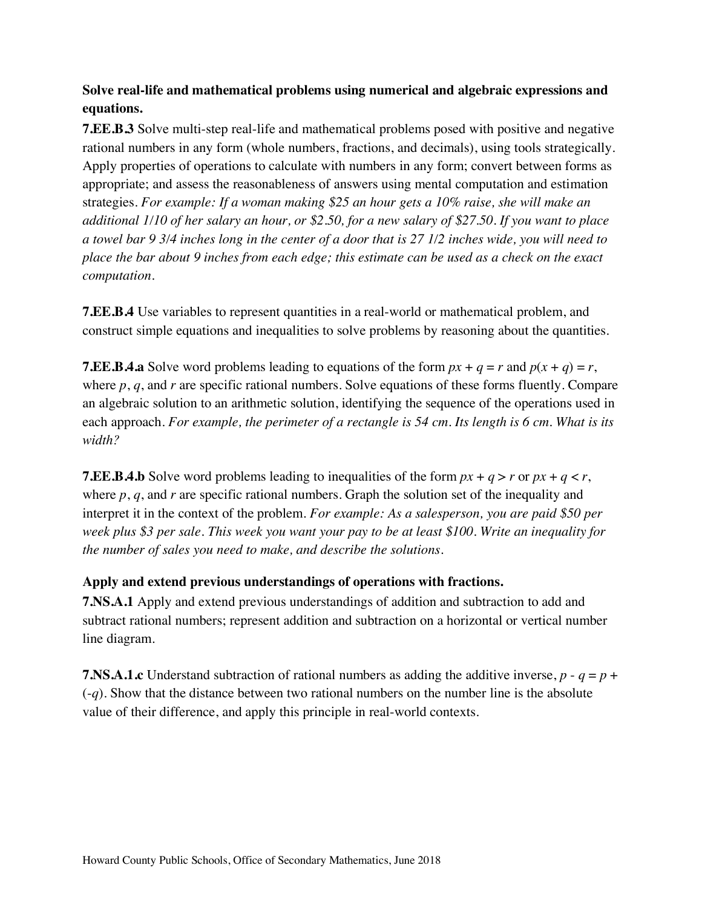# **Solve real-life and mathematical problems using numerical and algebraic expressions and equations.**

 **7.EE.B.3** Solve multi-step real-life and mathematical problems posed with positive and negative rational numbers in any form (whole numbers, fractions, and decimals), using tools strategically. Apply properties of operations to calculate with numbers in any form; convert between forms as appropriate; and assess the reasonableness of answers using mental computation and estimation  strategies. *For example: If a woman making \$25 an hour gets a 10% raise, she will make an additional 1/10 of her salary an hour, or \$2.50, for a new salary of \$27.50. If you want to place a towel bar 9 3/4 inches long in the center of a door that is 27 1/2 inches wide, you will need to place the bar about 9 inches from each edge; this estimate can be used as a check on the exact computation*.

 **7.EE.B.4** Use variables to represent quantities in a real-world or mathematical problem, and construct simple equations and inequalities to solve problems by reasoning about the quantities.

**7.EE.B.4.a** Solve word problems leading to equations of the form  $px + q = r$  and  $p(x + q) = r$ , where *p*, *q*, and *r* are specific rational numbers. Solve equations of these forms fluently. Compare an algebraic solution to an arithmetic solution, identifying the sequence of the operations used in each approach. *For example, the perimeter of a rectangle is 54 cm. Its length is 6 cm. What is its width?* 

**7.EE.B.4.b** Solve word problems leading to inequalities of the form  $px + q > r$  or  $px + q < r$ , where *p*, *q*, and *r* are specific rational numbers. Graph the solution set of the inequality and interpret it in the context of the problem. *For example: As a salesperson, you are paid \$50 per week plus \$3 per sale. This week you want your pay to be at least \$100. Write an inequality for the number of sales you need to make, and describe the solutions*.

#### **Apply and extend previous understandings of operations with fractions.**

 **7.NS.A.1** Apply and extend previous understandings of addition and subtraction to add and subtract rational numbers; represent addition and subtraction on a horizontal or vertical number line diagram.

**7.NS.A.1.c** Understand subtraction of rational numbers as adding the additive inverse,  $p - q = p + q$  (-*q*). Show that the distance between two rational numbers on the number line is the absolute value of their difference, and apply this principle in real-world contexts.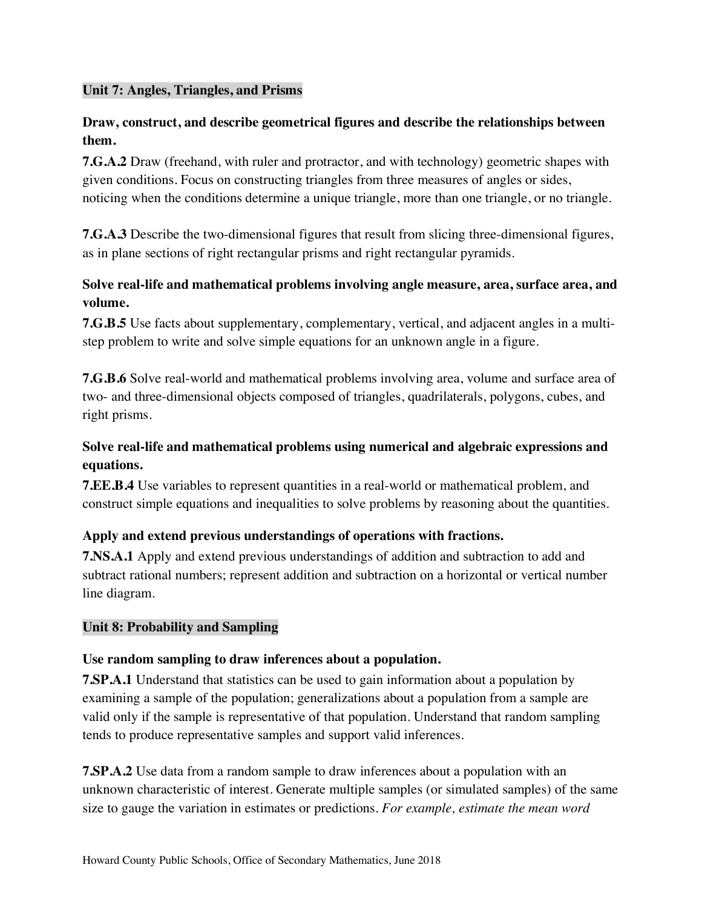## **Unit 7: Angles, Triangles, and Prisms**

## **Draw, construct, and describe geometrical figures and describe the relationships between them.**

 **7.G.A.2** Draw (freehand, with ruler and protractor, and with technology) geometric shapes with given conditions. Focus on constructing triangles from three measures of angles or sides, noticing when the conditions determine a unique triangle, more than one triangle, or no triangle.

 **7.G.A.3** Describe the two-dimensional figures that result from slicing three-dimensional figures, as in plane sections of right rectangular prisms and right rectangular pyramids.

# **Solve real-life and mathematical problems involving angle measure, area, surface area, and volume.**

 **7.G.B.5** Use facts about supplementary, complementary, vertical, and adjacent angles in a multi-step problem to write and solve simple equations for an unknown angle in a figure.

 **7.G.B.6** Solve real-world and mathematical problems involving area, volume and surface area of two- and three-dimensional objects composed of triangles, quadrilaterals, polygons, cubes, and right prisms.

# **Solve real-life and mathematical problems using numerical and algebraic expressions and equations.**

 **7.EE.B.4** Use variables to represent quantities in a real-world or mathematical problem, and construct simple equations and inequalities to solve problems by reasoning about the quantities.

# **Apply and extend previous understandings of operations with fractions.**

 **7.NS.A.1** Apply and extend previous understandings of addition and subtraction to add and subtract rational numbers; represent addition and subtraction on a horizontal or vertical number line diagram.

### **Unit 8: Probability and Sampling**

## **Use random sampling to draw inferences about a population.**

 **7.SP.A.1** Understand that statistics can be used to gain information about a population by examining a sample of the population; generalizations about a population from a sample are valid only if the sample is representative of that population. Understand that random sampling tends to produce representative samples and support valid inferences.

 **7.SP.A.2** Use data from a random sample to draw inferences about a population with an unknown characteristic of interest. Generate multiple samples (or simulated samples) of the same size to gauge the variation in estimates or predictions. *For example, estimate the mean word*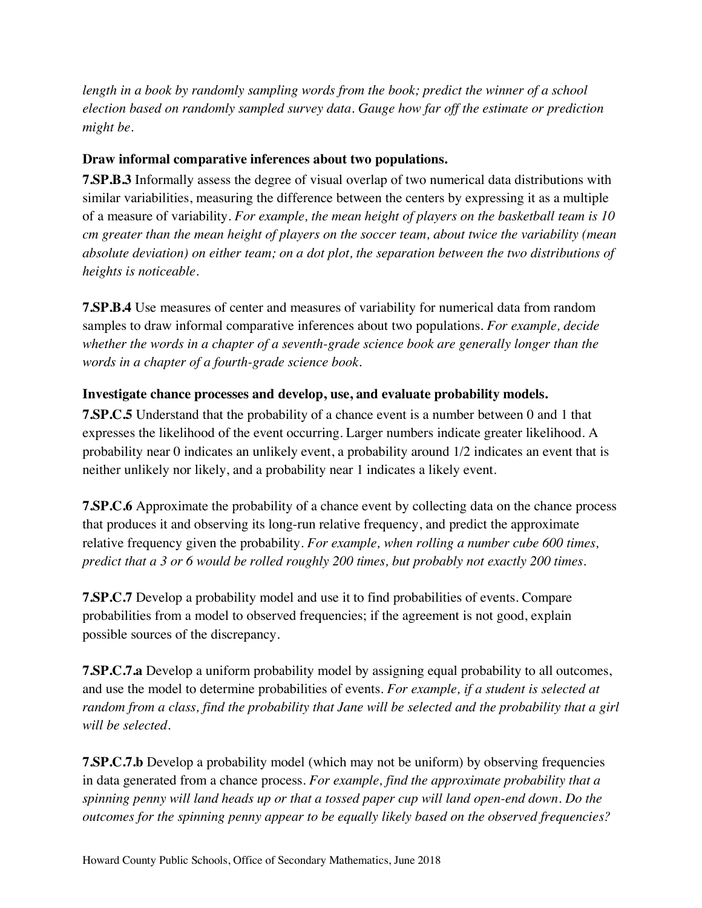length in a book by randomly sampling words from the book; predict the winner of a school  *election based on randomly sampled survey data. Gauge how far off the estimate or prediction might be*.

## **Draw informal comparative inferences about two populations.**

 **7.SP.B.3** Informally assess the degree of visual overlap of two numerical data distributions with similar variabilities, measuring the difference between the centers by expressing it as a multiple of a measure of variability. *For example, the mean height of players on the basketball team is 10 cm greater than the mean height of players on the soccer team, about twice the variability (mean absolute deviation) on either team; on a dot plot, the separation between the two distributions of heights is noticeable*.

 **7.SP.B.4** Use measures of center and measures of variability for numerical data from random samples to draw informal comparative inferences about two populations. *For example, decide whether the words in a chapter of a seventh-grade science book are generally longer than the words in a chapter of a fourth-grade science book*.

#### **Investigate chance processes and develop, use, and evaluate probability models.**

 **7.SP.C.5** Understand that the probability of a chance event is a number between 0 and 1 that expresses the likelihood of the event occurring. Larger numbers indicate greater likelihood. A probability near 0 indicates an unlikely event, a probability around 1/2 indicates an event that is neither unlikely nor likely, and a probability near 1 indicates a likely event.

 **7.SP.C.6** Approximate the probability of a chance event by collecting data on the chance process that produces it and observing its long-run relative frequency, and predict the approximate relative frequency given the probability. *For example, when rolling a number cube 600 times, predict that a 3 or 6 would be rolled roughly 200 times, but probably not exactly 200 times*.

 **7.SP.C.7** Develop a probability model and use it to find probabilities of events. Compare probabilities from a model to observed frequencies; if the agreement is not good, explain possible sources of the discrepancy.

 **7.SP.C.7.a** Develop a uniform probability model by assigning equal probability to all outcomes, and use the model to determine probabilities of events. *For example, if a student is selected at random from a class, find the probability that Jane will be selected and the probability that a girl will be selected*.

 **7.SP.C.7.b** Develop a probability model (which may not be uniform) by observing frequencies in data generated from a chance process. *For example, find the approximate probability that a spinning penny will land heads up or that a tossed paper cup will land open-end down. Do the outcomes for the spinning penny appear to be equally likely based on the observed frequencies?*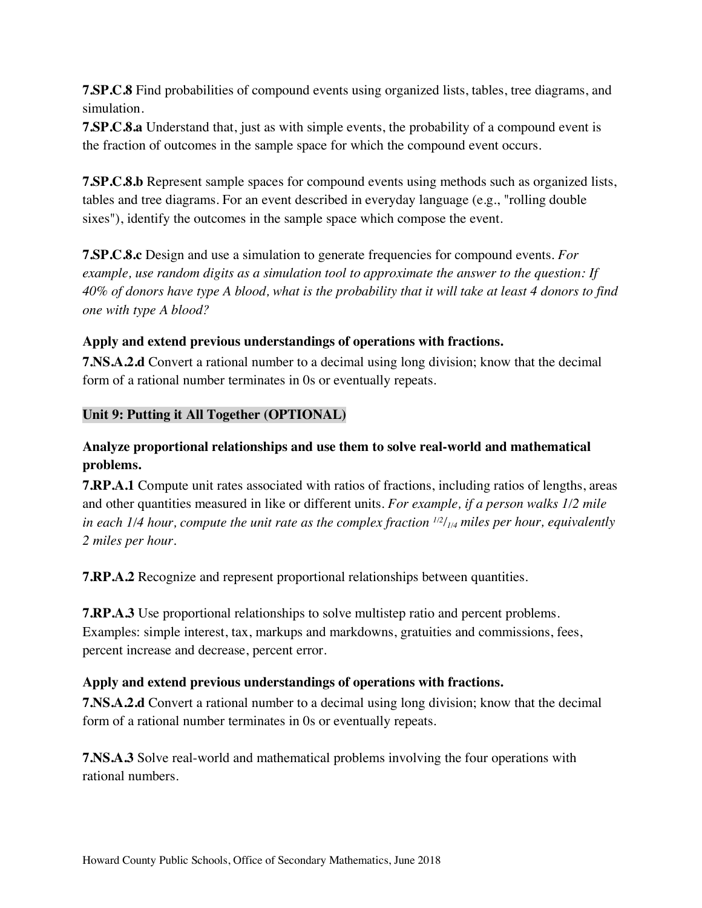**7.SP.C.8** Find probabilities of compound events using organized lists, tables, tree diagrams, and simulation.

 **7.SP.C.8.a** Understand that, just as with simple events, the probability of a compound event is the fraction of outcomes in the sample space for which the compound event occurs.

 **7.SP.C.8.b** Represent sample spaces for compound events using methods such as organized lists, tables and tree diagrams. For an event described in everyday language (e.g., "rolling double sixes"), identify the outcomes in the sample space which compose the event.

 **7.SP.C.8.c** Design and use a simulation to generate frequencies for compound events. *For*  example, use random digits as a simulation tool to approximate the answer to the question: If  *40% of donors have type A blood, what is the probability that it will take at least 4 donors to find one with type A blood?* 

## **Apply and extend previous understandings of operations with fractions.**

 **7.NS.A.2.d** Convert a rational number to a decimal using long division; know that the decimal form of a rational number terminates in 0s or eventually repeats.

## **Unit 9: Putting it All Together (OPTIONAL)**

## **Analyze proportional relationships and use them to solve real-world and mathematical problems.**

 **7.RP.A.1** Compute unit rates associated with ratios of fractions, including ratios of lengths, areas and other quantities measured in like or different units. *For example, if a person walks 1/2 mile*  in each 1/4 hour, compute the unit rate as the complex fraction <sup>112</sup>/<sub>1/4</sub> miles per hour, equivalently  *2 miles per hour*.

**7.RP.A.2** Recognize and represent proportional relationships between quantities.

 **7.RP.A.3** Use proportional relationships to solve multistep ratio and percent problems. Examples: simple interest, tax, markups and markdowns, gratuities and commissions, fees, percent increase and decrease, percent error.

#### **Apply and extend previous understandings of operations with fractions.**

 **7.NS.A.2.d** Convert a rational number to a decimal using long division; know that the decimal form of a rational number terminates in 0s or eventually repeats.

 **7.NS.A.3** Solve real-world and mathematical problems involving the four operations with rational numbers.